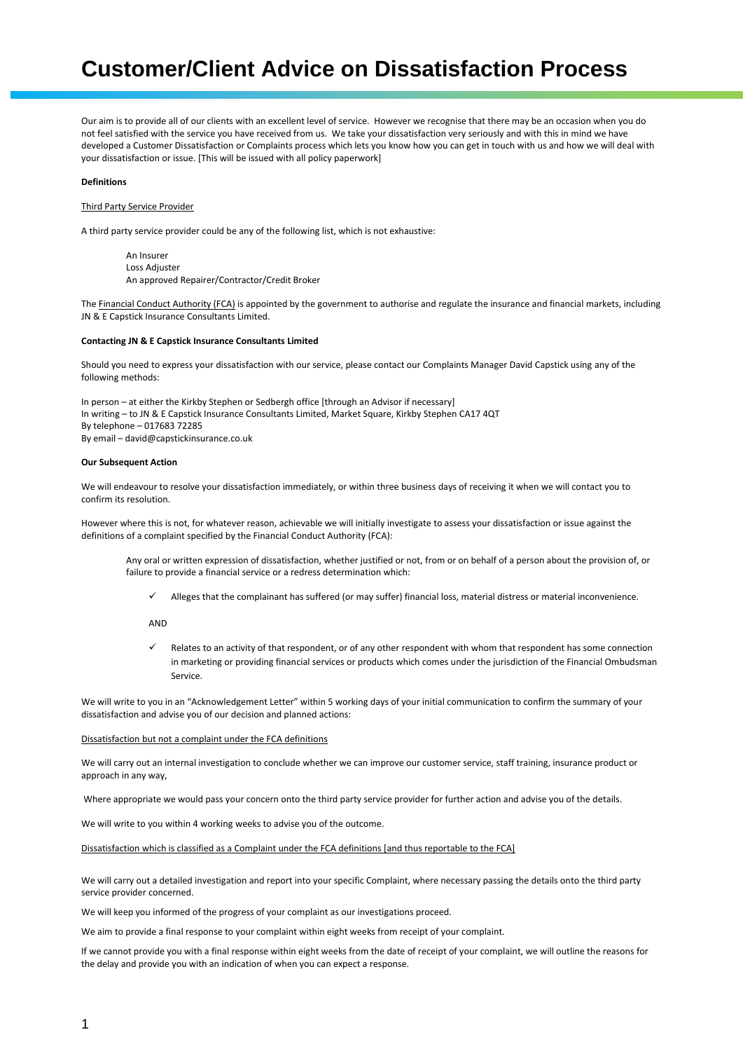# **Customer/Client Advice on Dissatisfaction Process**

Our aim is to provide all of our clients with an excellent level of service. However we recognise that there may be an occasion when you do not feel satisfied with the service you have received from us. We take your dissatisfaction very seriously and with this in mind we have developed a Customer Dissatisfaction or Complaints process which lets you know how you can get in touch with us and how we will deal with your dissatisfaction or issue. [This will be issued with all policy paperwork]

## **Definitions**

# Third Party Service Provider

A third party service provider could be any of the following list, which is not exhaustive:

An Insurer Loss Adjuster An approved Repairer/Contractor/Credit Broker

The Financial Conduct Authority (FCA) is appointed by the government to authorise and regulate the insurance and financial markets, including JN & E Capstick Insurance Consultants Limited.

#### **Contacting JN & E Capstick Insurance Consultants Limited**

Should you need to express your dissatisfaction with our service, please contact our Complaints Manager David Capstick using any of the following methods:

In person – at either the Kirkby Stephen or Sedbergh office [through an Advisor if necessary] In writing – to JN & E Capstick Insurance Consultants Limited, Market Square, Kirkby Stephen CA17 4QT By telephone – 017683 72285 By email – david@capstickinsurance.co.uk

## **Our Subsequent Action**

We will endeavour to resolve your dissatisfaction immediately, or within three business days of receiving it when we will contact you to confirm its resolution.

However where this is not, for whatever reason, achievable we will initially investigate to assess your dissatisfaction or issue against the definitions of a complaint specified by the Financial Conduct Authority (FCA):

Any oral or written expression of dissatisfaction, whether justified or not, from or on behalf of a person about the provision of, or failure to provide a financial service or a redress determination which:

✓ Alleges that the complainant has suffered (or may suffer) financial loss, material distress or material inconvenience.

AND

Relates to an activity of that respondent, or of any other respondent with whom that respondent has some connection in marketing or providing financial services or products which comes under the jurisdiction of the Financial Ombudsman Service.

We will write to you in an "Acknowledgement Letter" within 5 working days of your initial communication to confirm the summary of your dissatisfaction and advise you of our decision and planned actions:

# Dissatisfaction but not a complaint under the FCA definitions

We will carry out an internal investigation to conclude whether we can improve our customer service, staff training, insurance product or approach in any way,

Where appropriate we would pass your concern onto the third party service provider for further action and advise you of the details.

We will write to you within 4 working weeks to advise you of the outcome.

Dissatisfaction which is classified as a Complaint under the FCA definitions [and thus reportable to the FCA]

We will carry out a detailed investigation and report into your specific Complaint, where necessary passing the details onto the third party service provider concerned.

We will keep you informed of the progress of your complaint as our investigations proceed.

We aim to provide a final response to your complaint within eight weeks from receipt of your complaint.

If we cannot provide you with a final response within eight weeks from the date of receipt of your complaint, we will outline the reasons for the delay and provide you with an indication of when you can expect a response.